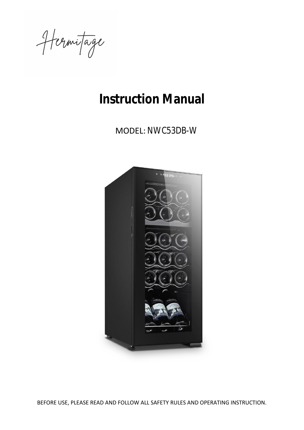Hermitage

# **Instruction Manual**

MODEL: NWC53DB-W



BEFORE USE, PLEASE READ AND FOLLOW ALL SAFETY RULES AND OPERATING INSTRUCTION.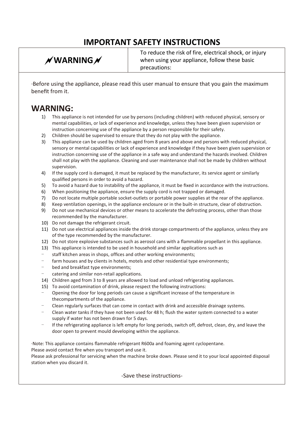# **IMPORTANT SAFETY INSTRUCTIONS**

# **WARNING**

To reduce the risk of fire, electrical shock, or injury when using your appliance, follow these basic precautions:

·Before using the appliance, please read this user manual to ensure that you gain the maximum benefit from it.

### **WARNING:**

- 1) This appliance is not intended for use by persons (including children) with reduced physical, sensory or mental capabilities, or lack of experience and knowledge, unless they have been given supervision or instruction concerning use of the appliance by a person responsible for their safety.
- 2) Children should be supervised to ensure that they do not play with the appliance.
- 3) This appliance can be used by children aged from 8 years and above and persons with reduced physical, sensory or mental capabilities or lack of experience and knowledge if they have been given supervision or instruction concerning use of the appliance in a safe way and understand the hazards involved. Children shall not play with the appliance. Cleaning and user maintenance shall not be made by children without supervision.
- 4) If the supply cord is damaged, it must be replaced by the manufacturer, its service agent or similarly qualified persons in order to avoid a hazard.
- 5) To avoid a hazard due to instability of the appliance, it must be fixed in accordance with the instructions.
- 6) When positioning the appliance, ensure the supply cord is not trapped or damaged.
- 7) Do not locate multiple portable socket-outlets or portable power supplies at the rear of the appliance.
- 8) Keep ventilation openings, in the appliance enclosure or in the built-in structure, clear of obstruction.
- 9) Do not use mechanical devices or other means to accelerate the defrosting process, other than those recommended by the manufacturer.
- 10) Do not damage the refrigerant circuit.
- 11) Do not use electrical appliances inside the drink storage compartments of the appliance, unless they are of the type recommended by the manufacturer.
- 12) Do not store explosive substances such as aerosol cans with a flammable propellant in this appliance.
- 13) This appliance is intended to be used in household and similar applications such as
- staff kitchen areas in shops, offices and other working environments;
- farm houses and by clients in hotels, motels and other residential type environments;
- bed and breakfast type environments;
- catering and similar non-retail applications.
- 14) Children aged from 3 to 8 years are allowed to load and unload refrigerating appliances.
- 15) To avoid contamination of drink, please respect the following instructions:
- Opening the door for long periods can cause a significant increase of the temperature in thecompartments of the appliance.
- Clean regularly surfaces that can come in contact with drink and accessible drainage systems.
- Clean water tanks if they have not been used for 48 h; flush the water system connected to a water supply if water has not been drawn for 5 days.
- If the refrigerating appliance is left empty for long periods, switch off, defrost, clean, dry, and leave the door open to prevent mould developing within the appliance.

·Note: This appliance contains flammable refrigerant R600a and foaming agent cyclopentane.

Please avoid contact fire when you transport and use it.

Please ask professional for servicing when the machine broke down. Please send it to your local appointed disposal station when you discard it.

#### -Save these instructions-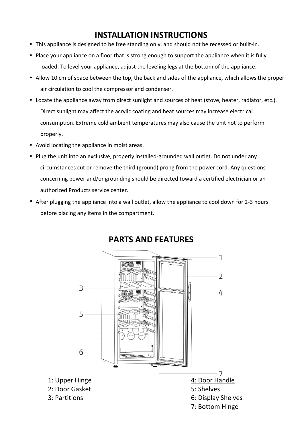## **INSTALLATION INSTRUCTIONS**

- This appliance is designed to be free standing only, and should not be recessed or built-in.
- Place your appliance on a floor that is strong enough to support the appliance when it is fully loaded. To level your appliance, adjust the leveling legs at the bottom of the appliance.
- Allow 10 cm of space between the top, the back and sides of the appliance, which allows the proper air circulation to cool the compressor and condenser.
- Locate the appliance away from direct sunlight and sources of heat (stove, heater, radiator, etc.). Direct sunlight may affect the acrylic coating and heat sources may increase electrical consumption. Extreme cold ambient temperatures may also cause the unit not to perform properly.
- Avoid locating the appliance in moist areas.
- Plug the unit into an exclusive, properly installed-grounded wall outlet. Do not under any circumstances cut or remove the third (ground) prong from the power cord. Any questions concerning power and/or grounding should be directed toward a certified electrician or an authorized Products service center.
- After plugging the appliance into a wall outlet, allow the appliance to cool down for 2-3 hours before placing any items in the compartment.



### **PARTS AND FEATURES**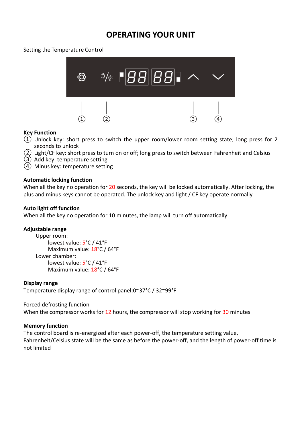### **OPERATING YOUR UNIT**

#### Setting the Temperature Control



#### **Key Function**

- $(1)$  Unlock key: short press to switch the upper room/lower room setting state; long press for 2 seconds to unlock
- ② Light/CF key: short press to turn on or off; long press to switch between Fahrenheit and Celsius
- ③ Add key: temperature setting
- ④ Minus key: temperature setting

#### **Automatic locking function**

When all the key no operation for 20 seconds, the key will be locked automatically. After locking, the plus and minus keys cannot be operated. The unlock key and light / CF key operate normally

#### **Auto light off function**

When all the key no operation for 10 minutes, the lamp will turn off automatically

#### **Adjustable range**

Upper room: lowest value: 5°C / 41°F Maximum value: 18°C / 64°F Lower chamber: lowest value: 5°C / 41°F Maximum value: 18°C / 64°F

#### **Display range**

Temperature display range of control panel:0~37°C / 32~99°F

#### Forced defrosting function

When the compressor works for 12 hours, the compressor will stop working for 30 minutes

#### **Memory function**

The control board is re-energized after each power-off, the temperature setting value, Fahrenheit/Celsius state will be the same as before the power-off, and the length of power-off time is not limited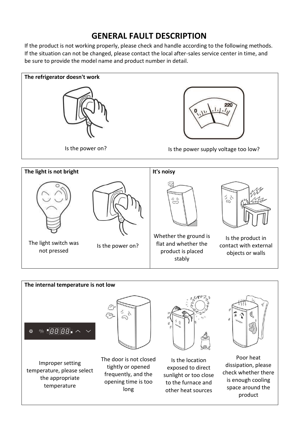### **GENERAL FAULT DESCRIPTION**

If the product is not working properly, please check and handle according to the following methods. If the situation can not be changed, please contact the local after-sales service center in time, and be sure to provide the model name and product number in detail.